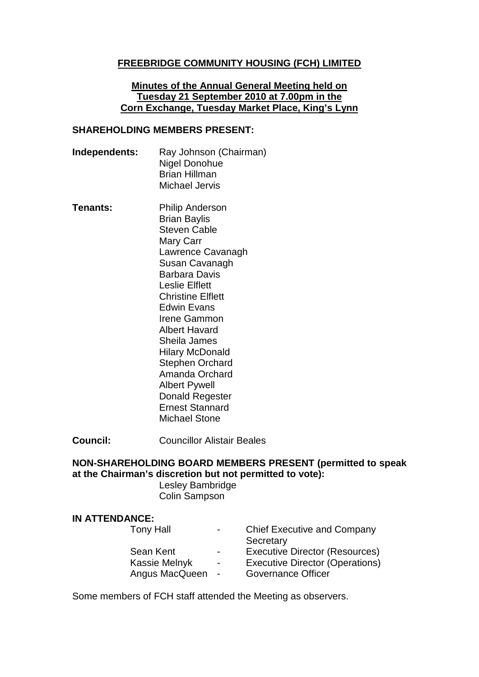### **FREEBRIDGE COMMUNITY HOUSING (FCH) LIMITED**

#### **Minutes of the Annual General Meeting held on Tuesday 21 September 2010 at 7.00pm in the Corn Exchange, Tuesday Market Place, King's Lynn**

### **SHAREHOLDING MEMBERS PRESENT:**

- **Independents:** Ray Johnson (Chairman) Nigel Donohue Brian Hillman Michael Jervis
- **Tenants:** Philip Anderson Brian Baylis Steven Cable Mary Carr Lawrence Cavanagh Susan Cavanagh Barbara Davis Leslie Elflett Christine Elflett Edwin Evans Irene Gammon Albert Havard Sheila James Hilary McDonald Stephen Orchard Amanda Orchard Albert Pywell Donald Regester Ernest Stannard Michael Stone

**Council:** Councillor Alistair Beales

# **NON-SHAREHOLDING BOARD MEMBERS PRESENT (permitted to speak at the Chairman's discretion but not permitted to vote):**

Lesley Bambridge Colin Sampson

#### **IN ATTENDANCE:**

| $\sim$ $\sim$  | <b>Chief Executive and Company</b>     |
|----------------|----------------------------------------|
|                | Secretary                              |
| $\blacksquare$ | Executive Director (Resources)         |
| $\sim$ .       | <b>Executive Director (Operations)</b> |
| $\sim$         | Governance Officer                     |
|                |                                        |

Some members of FCH staff attended the Meeting as observers.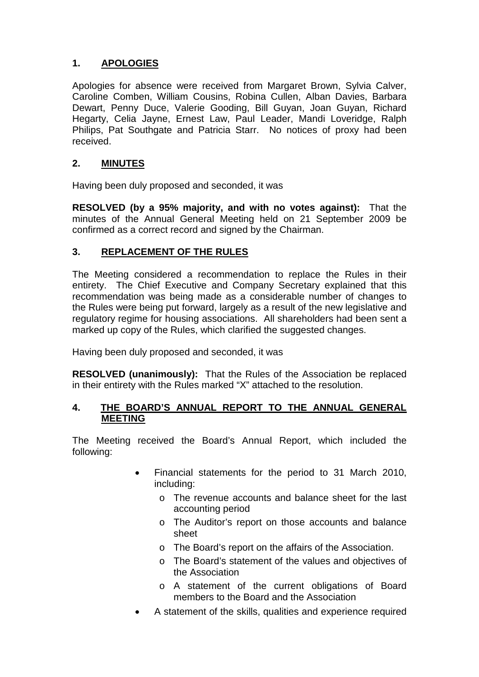# **1. APOLOGIES**

Apologies for absence were received from Margaret Brown, Sylvia Calver, Caroline Comben, William Cousins, Robina Cullen, Alban Davies, Barbara Dewart, Penny Duce, Valerie Gooding, Bill Guyan, Joan Guyan, Richard Hegarty, Celia Jayne, Ernest Law, Paul Leader, Mandi Loveridge, Ralph Philips, Pat Southgate and Patricia Starr. No notices of proxy had been received.

# **2. MINUTES**

Having been duly proposed and seconded, it was

**RESOLVED (by a 95% majority, and with no votes against):** That the minutes of the Annual General Meeting held on 21 September 2009 be confirmed as a correct record and signed by the Chairman.

# **3. REPLACEMENT OF THE RULES**

The Meeting considered a recommendation to replace the Rules in their entirety. The Chief Executive and Company Secretary explained that this recommendation was being made as a considerable number of changes to the Rules were being put forward, largely as a result of the new legislative and regulatory regime for housing associations. All shareholders had been sent a marked up copy of the Rules, which clarified the suggested changes.

Having been duly proposed and seconded, it was

**RESOLVED (unanimously):** That the Rules of the Association be replaced in their entirety with the Rules marked "X" attached to the resolution.

## **4. THE BOARD'S ANNUAL REPORT TO THE ANNUAL GENERAL MEETING**

The Meeting received the Board's Annual Report, which included the following:

- Financial statements for the period to 31 March 2010, including:
	- o The revenue accounts and balance sheet for the last accounting period
	- o The Auditor's report on those accounts and balance sheet
	- o The Board's report on the affairs of the Association.
	- o The Board's statement of the values and objectives of the Association
	- o A statement of the current obligations of Board members to the Board and the Association
- A statement of the skills, qualities and experience required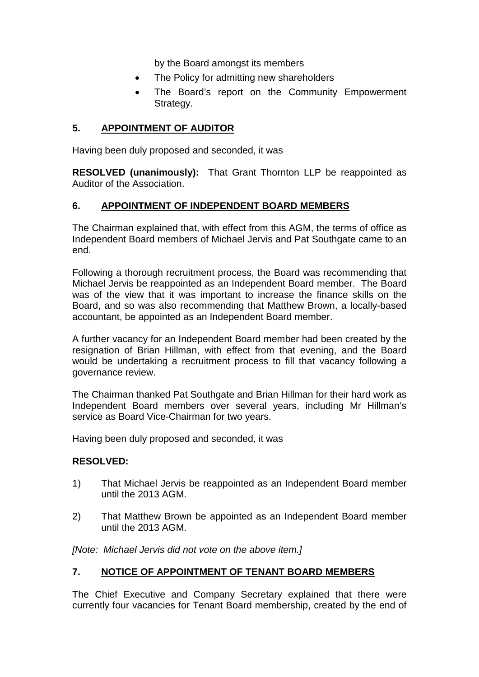by the Board amongst its members

- The Policy for admitting new shareholders
- The Board's report on the Community Empowerment Strategy.

## **5. APPOINTMENT OF AUDITOR**

Having been duly proposed and seconded, it was

**RESOLVED (unanimously):** That Grant Thornton LLP be reappointed as Auditor of the Association.

## **6. APPOINTMENT OF INDEPENDENT BOARD MEMBERS**

The Chairman explained that, with effect from this AGM, the terms of office as Independent Board members of Michael Jervis and Pat Southgate came to an end.

Following a thorough recruitment process, the Board was recommending that Michael Jervis be reappointed as an Independent Board member. The Board was of the view that it was important to increase the finance skills on the Board, and so was also recommending that Matthew Brown, a locally-based accountant, be appointed as an Independent Board member.

A further vacancy for an Independent Board member had been created by the resignation of Brian Hillman, with effect from that evening, and the Board would be undertaking a recruitment process to fill that vacancy following a governance review.

The Chairman thanked Pat Southgate and Brian Hillman for their hard work as Independent Board members over several years, including Mr Hillman's service as Board Vice-Chairman for two years.

Having been duly proposed and seconded, it was

### **RESOLVED:**

- 1) That Michael Jervis be reappointed as an Independent Board member until the 2013 AGM.
- 2) That Matthew Brown be appointed as an Independent Board member until the 2013 AGM.

*[Note: Michael Jervis did not vote on the above item.]*

### **7. NOTICE OF APPOINTMENT OF TENANT BOARD MEMBERS**

The Chief Executive and Company Secretary explained that there were currently four vacancies for Tenant Board membership, created by the end of